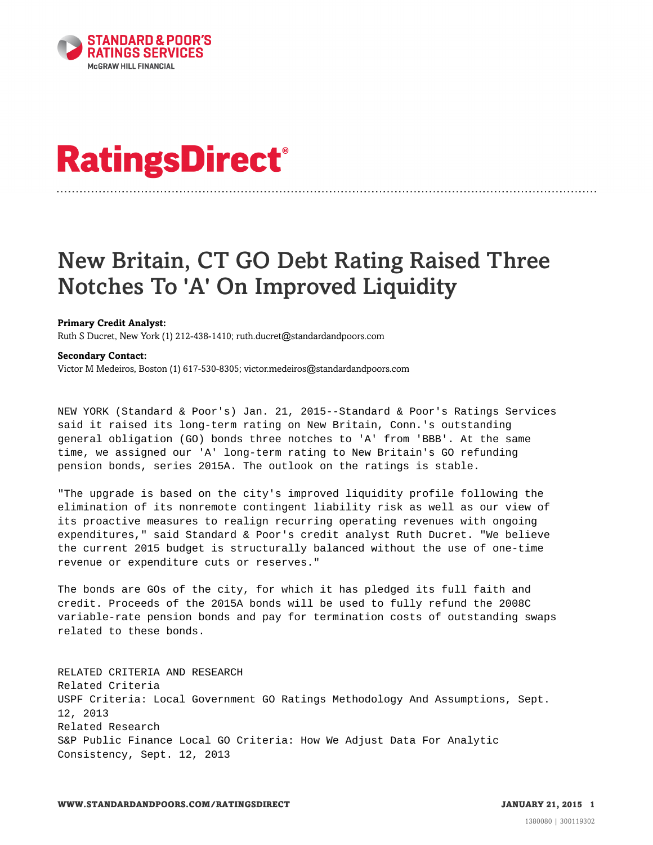

## **RatingsDirect®**

## New Britain, CT GO Debt Rating Raised Three Notches To 'A' On Improved Liquidity

## **Primary Credit Analyst:**

Ruth S Ducret, New York (1) 212-438-1410; ruth.ducret@standardandpoors.com

## **Secondary Contact:**

Victor M Medeiros, Boston (1) 617-530-8305; victor.medeiros@standardandpoors.com

NEW YORK (Standard & Poor's) Jan. 21, 2015--Standard & Poor's Ratings Services said it raised its long-term rating on New Britain, Conn.'s outstanding general obligation (GO) bonds three notches to 'A' from 'BBB'. At the same time, we assigned our 'A' long-term rating to New Britain's GO refunding pension bonds, series 2015A. The outlook on the ratings is stable.

"The upgrade is based on the city's improved liquidity profile following the elimination of its nonremote contingent liability risk as well as our view of its proactive measures to realign recurring operating revenues with ongoing expenditures," said Standard & Poor's credit analyst Ruth Ducret. "We believe the current 2015 budget is structurally balanced without the use of one-time revenue or expenditure cuts or reserves."

The bonds are GOs of the city, for which it has pledged its full faith and credit. Proceeds of the 2015A bonds will be used to fully refund the 2008C variable-rate pension bonds and pay for termination costs of outstanding swaps related to these bonds.

RELATED CRITERIA AND RESEARCH Related Criteria USPF Criteria: Local Government GO Ratings Methodology And Assumptions, Sept. 12, 2013 Related Research S&P Public Finance Local GO Criteria: How We Adjust Data For Analytic Consistency, Sept. 12, 2013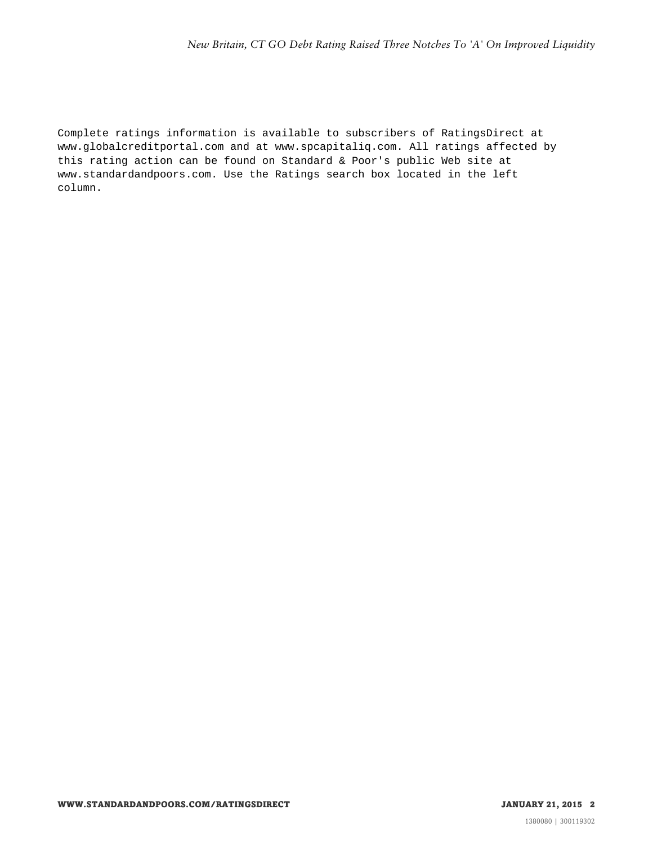Complete ratings information is available to subscribers of RatingsDirect at www.globalcreditportal.com and at www.spcapitaliq.com. All ratings affected by this rating action can be found on Standard & Poor's public Web site at www.standardandpoors.com. Use the Ratings search box located in the left column.